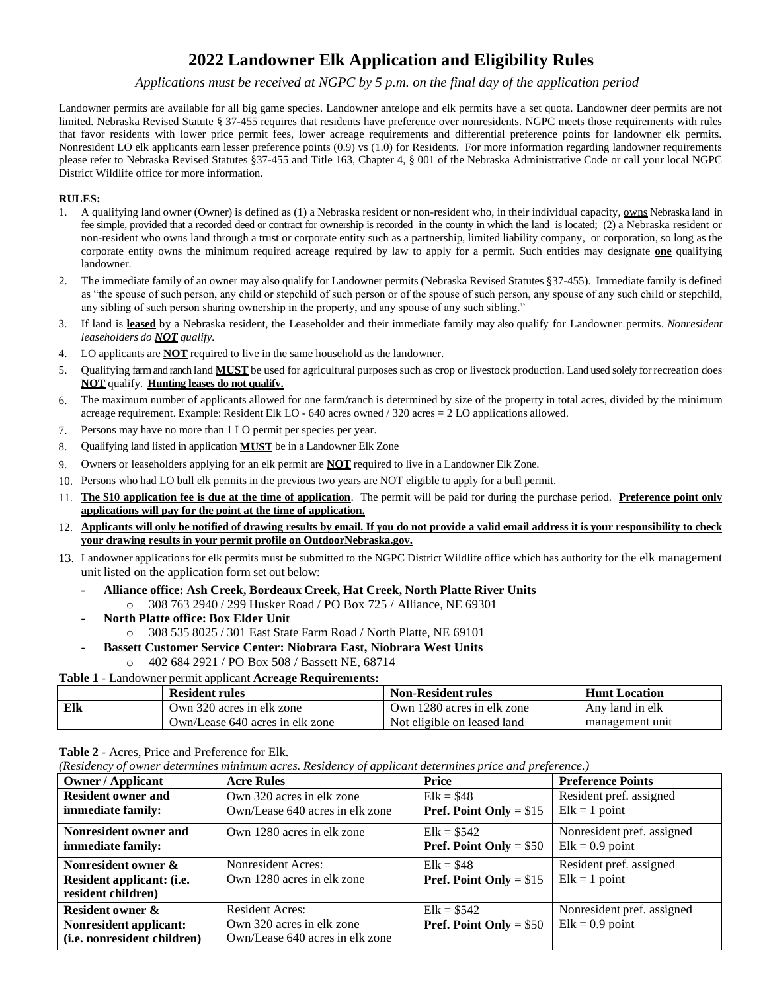## **2022 Landowner Elk Application and Eligibility Rules**

#### *Applications must be received at NGPC by 5 p.m. on the final day of the application period*

Landowner permits are available for all big game species. Landowner antelope and elk permits have a set quota. Landowner deer permits are not limited. Nebraska Revised Statute § 37-455 requires that residents have preference over nonresidents. NGPC meets those requirements with rules that favor residents with lower price permit fees, lower acreage requirements and differential preference points for landowner elk permits. Nonresident LO elk applicants earn lesser preference points (0.9) vs (1.0) for Residents. For more information regarding landowner requirements please refer to Nebraska Revised Statutes §37-455 and Title 163, Chapter 4, § 001 of the Nebraska Administrative Code or call your local NGPC District Wildlife office for more information.

#### **RULES:**

- 1. A qualifying land owner (Owner) is defined as (1) a Nebraska resident or non-resident who, in their individual capacity, <u>owns</u> Nebraska land in fee simple, provided that a recorded deed or contract for ownership is recorded in the county in which the land is located; (2) a Nebraska resident or non-resident who owns land through a trust or corporate entity such as a partnership, limited liability company, or corporation, so long as the corporate entity owns the minimum required acreage required by law to apply for a permit. Such entities may designate **one** qualifying landowner.
- 2. The immediate family of an owner may also qualify for Landowner permits (Nebraska Revised Statutes §37-455). Immediate family is defined as "the spouse of such person, any child or stepchild of such person or of the spouse of such person, any spouse of any such child or stepchild, any sibling of such person sharing ownership in the property, and any spouse of any such sibling."
- 3. If land is **leased** by a Nebraska resident, the Leaseholder and their immediate family may also qualify for Landowner permits. *Nonresident leaseholders do NOT qualify.*
- 4. LO applicants are **NOT** required to live in the same household as the landowner.
- 5. Qualifying farm and ranch land **MUST** be used for agricultural purposes such as crop or livestock production. Land used solely for recreation does **NOT** qualify. **Hunting leases do not qualify.**
- 6. The maximum number of applicants allowed for one farm/ranch is determined by size of the property in total acres, divided by the minimum acreage requirement. Example: Resident Elk LO - 640 acres owned / 320 acres = 2 LO applications allowed.
- 7. Persons may have no more than 1 LO permit per species per year.
- 8. Qualifying land listed in application **MUST** be in a Landowner Elk Zone
- 9. Owners or leaseholders applying for an elk permit are **NOT** required to live in a Landowner Elk Zone.
- 10. Persons who had LO bull elk permits in the previous two years are NOT eligible to apply for a bull permit.
- 11. **The \$10 application fee is due at the time of application**. The permit will be paid for during the purchase period. **Preference point only applications will pay for the point at the time of application.**
- 12. **Applicants will only be notified of drawing results by email. If you do not provide a valid email address it is your responsibility to check your drawing results in your permit profile on OutdoorNebraska.gov.**
- 13. Landowner applications for elk permits must be submitted to the NGPC District Wildlife office which has authority for the elk management unit listed on the application form set out below:
	- **- Alliance office: Ash Creek, Bordeaux Creek, Hat Creek, North Platte River Units** o 308 763 2940 / 299 Husker Road / PO Box 725 / Alliance, NE 69301
	- **- North Platte office: Box Elder Unit**
		- o 308 535 8025 / 301 East State Farm Road / North Platte, NE 69101
	- **- Bassett Customer Service Center: Niobrara East, Niobrara West Units**
		- o 402 684 2921 / PO Box 508 / Bassett NE, 68714

**Table 1** - Landowner permit applicant **Acreage Requirements:**

|     | <b>Resident rules</b>           | <b>Non-Resident rules</b>   | <b>Hunt Location</b> |
|-----|---------------------------------|-----------------------------|----------------------|
| Elk | Own 320 acres in elk zone       | Own 1280 acres in elk zone  | Any land in elk      |
|     | Own/Lease 640 acres in elk zone | Not eligible on leased land | management unit      |

**Table 2** - Acres, Price and Preference for Elk.

*(Residency of owner determines minimum acres. Residency of applicant determines price and preference.)*

| <b>Owner / Applicant</b>      | <b>Acre Rules</b>               | Price                           | <b>Preference Points</b>   |
|-------------------------------|---------------------------------|---------------------------------|----------------------------|
| <b>Resident owner and</b>     | Own 320 acres in elk zone       | $Elk = $48$                     | Resident pref. assigned    |
| immediate family:             | Own/Lease 640 acres in elk zone | <b>Pref. Point Only</b> = $$15$ | $Elk = 1$ point            |
| Nonresident owner and         | Own 1280 acres in elk zone      | $Elk = $542$                    | Nonresident pref. assigned |
| immediate family:             |                                 | <b>Pref. Point Only</b> = $$50$ | $E$ lk = 0.9 point         |
| Nonresident owner &           | Nonresident Acres:              | $Elk = $48$                     | Resident pref. assigned    |
| Resident applicant: (i.e.     | Own 1280 acres in elk zone      | <b>Pref. Point Only</b> = $$15$ | $Elk = 1$ point            |
| resident children)            |                                 |                                 |                            |
| <b>Resident owner &amp;</b>   | <b>Resident Acres:</b>          | $Elk = $542$                    | Nonresident pref. assigned |
| <b>Nonresident applicant:</b> | Own 320 acres in elk zone       | <b>Pref. Point Only</b> = $$50$ | $Elk = 0.9$ point          |
| (i.e. nonresident children)   | Own/Lease 640 acres in elk zone |                                 |                            |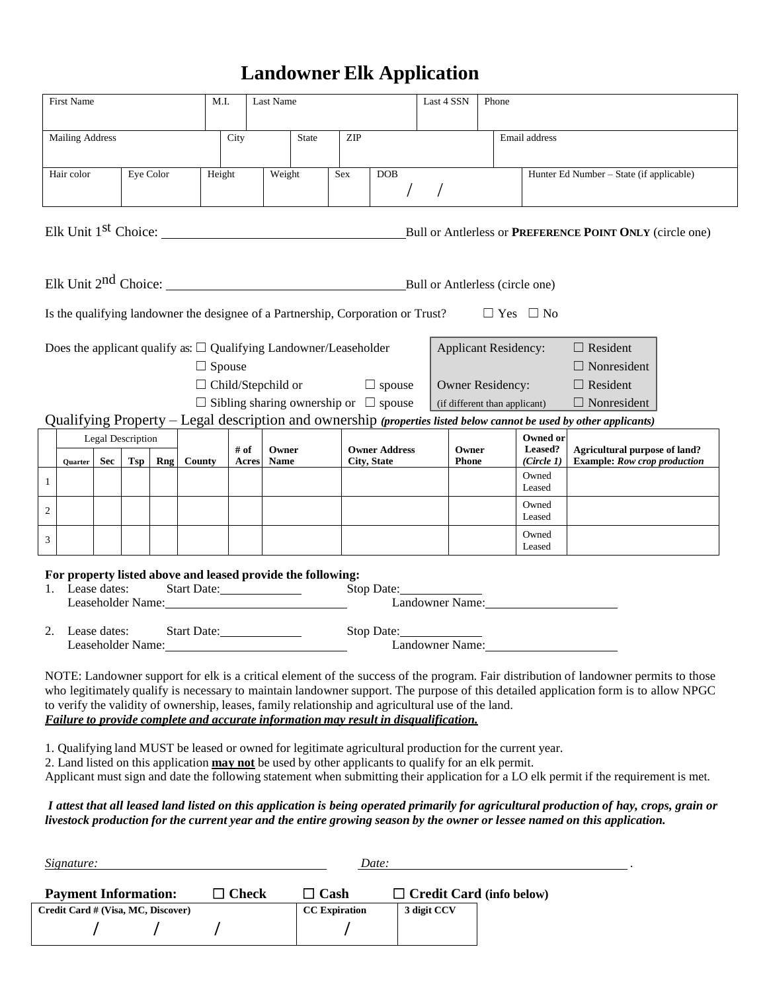# **Landowner Elk Application**

| <b>Mailing Address</b><br>City<br>ZIP<br>Email address<br><b>State</b><br>Eye Color<br>Hunter Ed Number - State (if applicable)<br>Hair color<br>Height<br>Weight<br>DOB<br>Sex<br>Is the qualifying landowner the designee of a Partnership, Corporation or Trust?<br>$\Box$ Yes $\Box$ No<br>Does the applicant qualify as: $\Box$ Qualifying Landowner/Leaseholder<br><b>Applicant Residency:</b><br>$\Box$ Spouse<br>$\Box$ Child/Stepchild or<br>$\Box$ spouse<br>Owner Residency:<br>$\Box$ Sibling sharing ownership or $\Box$ spouse<br>$\Box$ Nonresident<br>(if different than applicant)<br>Qualifying Property - Legal description and ownership (properties listed below cannot be used by other applicants)<br>Owned or<br><b>Legal Description</b><br>$#$ of<br>Leased?<br>Owner<br><b>Owner Address</b><br>Owner<br><b>Sec</b><br><b>Tsp</b><br>Rng County<br>Name<br>City, State<br><b>Phone</b><br>(Circle 1)<br>Acres<br><b>Quarter</b><br>Owned<br>-1<br>Leased<br>Owned<br>$\sqrt{2}$<br>Leased<br>Owned |                                                                      |  |  |  |  |  |  |  |
|-------------------------------------------------------------------------------------------------------------------------------------------------------------------------------------------------------------------------------------------------------------------------------------------------------------------------------------------------------------------------------------------------------------------------------------------------------------------------------------------------------------------------------------------------------------------------------------------------------------------------------------------------------------------------------------------------------------------------------------------------------------------------------------------------------------------------------------------------------------------------------------------------------------------------------------------------------------------------------------------------------------------------------|----------------------------------------------------------------------|--|--|--|--|--|--|--|
|                                                                                                                                                                                                                                                                                                                                                                                                                                                                                                                                                                                                                                                                                                                                                                                                                                                                                                                                                                                                                               |                                                                      |  |  |  |  |  |  |  |
|                                                                                                                                                                                                                                                                                                                                                                                                                                                                                                                                                                                                                                                                                                                                                                                                                                                                                                                                                                                                                               |                                                                      |  |  |  |  |  |  |  |
|                                                                                                                                                                                                                                                                                                                                                                                                                                                                                                                                                                                                                                                                                                                                                                                                                                                                                                                                                                                                                               |                                                                      |  |  |  |  |  |  |  |
|                                                                                                                                                                                                                                                                                                                                                                                                                                                                                                                                                                                                                                                                                                                                                                                                                                                                                                                                                                                                                               |                                                                      |  |  |  |  |  |  |  |
|                                                                                                                                                                                                                                                                                                                                                                                                                                                                                                                                                                                                                                                                                                                                                                                                                                                                                                                                                                                                                               |                                                                      |  |  |  |  |  |  |  |
|                                                                                                                                                                                                                                                                                                                                                                                                                                                                                                                                                                                                                                                                                                                                                                                                                                                                                                                                                                                                                               | $\Box$ Resident<br>$\Box$ Nonresident<br>$\Box$ Resident             |  |  |  |  |  |  |  |
|                                                                                                                                                                                                                                                                                                                                                                                                                                                                                                                                                                                                                                                                                                                                                                                                                                                                                                                                                                                                                               |                                                                      |  |  |  |  |  |  |  |
|                                                                                                                                                                                                                                                                                                                                                                                                                                                                                                                                                                                                                                                                                                                                                                                                                                                                                                                                                                                                                               | Agricultural purpose of land?<br><b>Example:</b> Row crop production |  |  |  |  |  |  |  |
|                                                                                                                                                                                                                                                                                                                                                                                                                                                                                                                                                                                                                                                                                                                                                                                                                                                                                                                                                                                                                               |                                                                      |  |  |  |  |  |  |  |
|                                                                                                                                                                                                                                                                                                                                                                                                                                                                                                                                                                                                                                                                                                                                                                                                                                                                                                                                                                                                                               |                                                                      |  |  |  |  |  |  |  |
| 3<br>Leased                                                                                                                                                                                                                                                                                                                                                                                                                                                                                                                                                                                                                                                                                                                                                                                                                                                                                                                                                                                                                   |                                                                      |  |  |  |  |  |  |  |
| For property listed above and leased provide the following:<br>1. Lease dates:<br>Start Date:<br>Stop Date:<br>Landowner Name:<br>Leaseholder Name: Name and Solid Manual Assembly Name and Solid Manual Assembly Name and Solid Manual Assembly                                                                                                                                                                                                                                                                                                                                                                                                                                                                                                                                                                                                                                                                                                                                                                              |                                                                      |  |  |  |  |  |  |  |
| Lease dates:<br>Start Date:<br>2.<br>Stop Date:<br>Leaseholder Name:<br>Landowner Name:                                                                                                                                                                                                                                                                                                                                                                                                                                                                                                                                                                                                                                                                                                                                                                                                                                                                                                                                       |                                                                      |  |  |  |  |  |  |  |
| NOTE: Landowner support for elk is a critical element of the success of the program. Fair distribution of landowner permits to those<br>who legitimately qualify is necessary to maintain landowner support. The purpose of this detailed application form is to allow NPGC<br>to verify the validity of ownership, leases, family relationship and agricultural use of the land.<br>Failure to provide complete and accurate information may result in disaualification.                                                                                                                                                                                                                                                                                                                                                                                                                                                                                                                                                     |                                                                      |  |  |  |  |  |  |  |
| 1. Qualifying land MUST be leased or owned for legitimate agricultural production for the current year.<br>2. Land listed on this application may not be used by other applicants to qualify for an elk permit.<br>Applicant must sign and date the following statement when submitting their application for a LO elk permit if the requirement is met.                                                                                                                                                                                                                                                                                                                                                                                                                                                                                                                                                                                                                                                                      |                                                                      |  |  |  |  |  |  |  |
| I attest that all leased land listed on this application is being operated primarily for agricultural production of hay, crops, grain or<br>livestock production for the current year and the entire growing season by the owner or lessee named on this application.                                                                                                                                                                                                                                                                                                                                                                                                                                                                                                                                                                                                                                                                                                                                                         |                                                                      |  |  |  |  |  |  |  |
| <u>Signature:</u><br>Date:                                                                                                                                                                                                                                                                                                                                                                                                                                                                                                                                                                                                                                                                                                                                                                                                                                                                                                                                                                                                    |                                                                      |  |  |  |  |  |  |  |
| <b>Payment Information:</b><br>$\Box$ Check<br>$\Box$ Cash<br>$\Box$ Credit Card (info below)<br>Credit Card # (Visa, MC, Discover)<br><b>CC</b> Expiration<br>3 digit CCV                                                                                                                                                                                                                                                                                                                                                                                                                                                                                                                                                                                                                                                                                                                                                                                                                                                    |                                                                      |  |  |  |  |  |  |  |

| <b>Payment Information:</b>        | ∃ Check | <b>Cash</b>          |             | $\Box$ Credit Card (info belov |  |  |
|------------------------------------|---------|----------------------|-------------|--------------------------------|--|--|
| Credit Card # (Visa, MC, Discover) |         | <b>CC</b> Expiration | 3 digit CCV |                                |  |  |
|                                    |         |                      |             |                                |  |  |